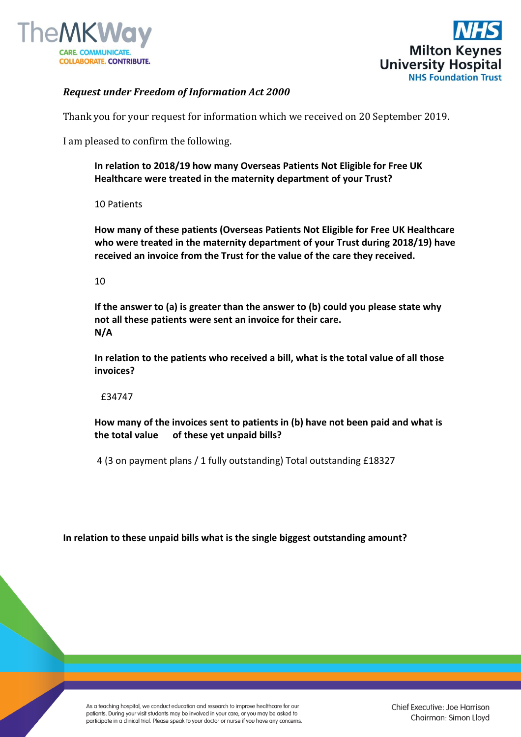



## *Request under Freedom of Information Act 2000*

Thank you for your request for information which we received on 20 September 2019.

I am pleased to confirm the following.

**In relation to 2018/19 how many Overseas Patients Not Eligible for Free UK Healthcare were treated in the maternity department of your Trust?**

10 Patients

**How many of these patients (Overseas Patients Not Eligible for Free UK Healthcare who were treated in the maternity department of your Trust during 2018/19) have received an invoice from the Trust for the value of the care they received.**

10

**If the answer to (a) is greater than the answer to (b) could you please state why not all these patients were sent an invoice for their care. N/A**

**In relation to the patients who received a bill, what is the total value of all those invoices?**

£34747

**How many of the invoices sent to patients in (b) have not been paid and what is the total value of these yet unpaid bills?**

4 (3 on payment plans / 1 fully outstanding) Total outstanding £18327

**In relation to these unpaid bills what is the single biggest outstanding amount?**